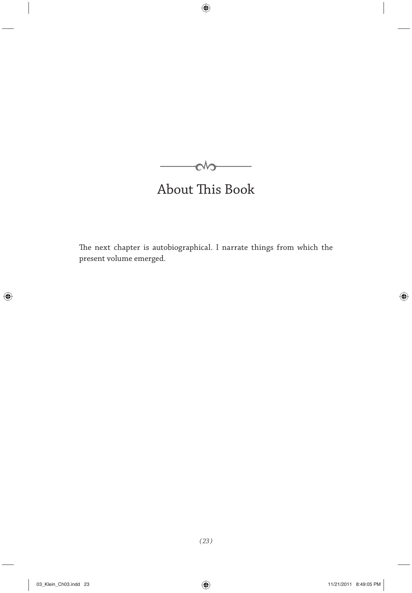

◈

## About This Book

The next chapter is autobiographical. I narrate things from which the present volume emerged.

⊕

*( 23 )*

 $\Big\}$ 

 $\bigoplus$ 

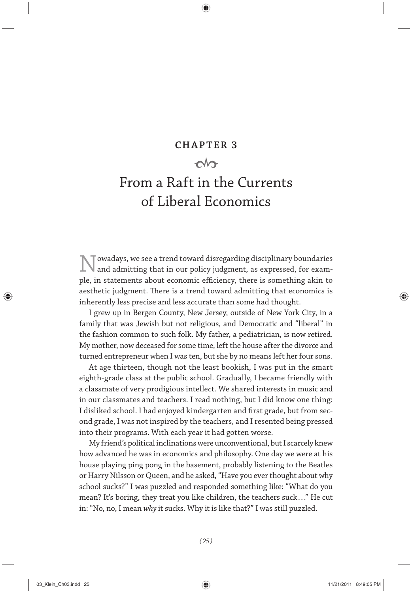# **CHAPTER 3**

◈

## From a Raft in the Currents of Liberal Economics

 $\mathbb T$  owadays, we see a trend toward disregarding disciplinary boundaries and admitting that in our policy judgment, as expressed, for example, in statements about economic efficiency, there is something akin to aesthetic judgment. There is a trend toward admitting that economics is inherently less precise and less accurate than some had thought.

I grew up in Bergen County, New Jersey, outside of New York City, in a family that was Jewish but not religious, and Democratic and "liberal" in the fashion common to such folk. My father, a pediatrician, is now retired. My mother, now deceased for some time, left the house after the divorce and turned entrepreneur when I was ten, but she by no means left her four sons.

At age thirteen, though not the least bookish, I was put in the smart eighth-grade class at the public school. Gradually, I became friendly with a classmate of very prodigious intellect. We shared interests in music and in our classmates and teachers. I read nothing, but I did know one thing: I disliked school. I had enjoyed kindergarten and first grade, but from second grade, I was not inspired by the teachers, and I resented being pressed into their programs. With each year it had gotten worse.

My friend's political inclinations were unconventional, but I scarcely knew how advanced he was in economics and philosophy. One day we were at his house playing ping pong in the basement, probably listening to the Beatles or Harry Nilsson or Queen, and he asked, "Have you ever thought about why school sucks?" I was puzzled and responded something like: "What do you mean? It's boring, they treat you like children, the teachers suck..." He cut in: "No, no, I mean *why* it sucks. Why it is like that?" I was still puzzled.

◈

♠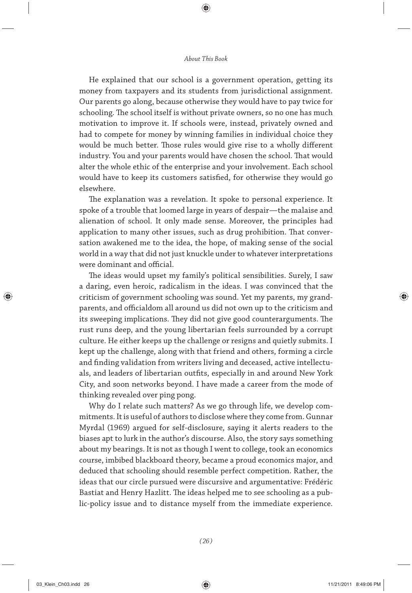◈

He explained that our school is a government operation, getting its money from taxpayers and its students from jurisdictional assignment. Our parents go along, because otherwise they would have to pay twice for schooling. The school itself is without private owners, so no one has much motivation to improve it. If schools were, instead, privately owned and had to compete for money by winning families in individual choice they would be much better. Those rules would give rise to a wholly different industry. You and your parents would have chosen the school. That would alter the whole ethic of the enterprise and your involvement. Each school would have to keep its customers satisfied, for otherwise they would go elsewhere.

The explanation was a revelation. It spoke to personal experience. It spoke of a trouble that loomed large in years of despair—the malaise and alienation of school. It only made sense. Moreover, the principles had application to many other issues, such as drug prohibition. That conversation awakened me to the idea, the hope, of making sense of the social world in a way that did not just knuckle under to whatever interpretations were dominant and official.

The ideas would upset my family's political sensibilities. Surely, I saw a daring, even heroic, radicalism in the ideas. I was convinced that the criticism of government schooling was sound. Yet my parents, my grandparents, and officialdom all around us did not own up to the criticism and its sweeping implications. They did not give good counterarguments. The rust runs deep, and the young libertarian feels surrounded by a corrupt culture. He either keeps up the challenge or resigns and quietly submits. I kept up the challenge, along with that friend and others, forming a circle and finding validation from writers living and deceased, active intellectuals, and leaders of libertarian outfits, especially in and around New York City, and soon networks beyond. I have made a career from the mode of thinking revealed over ping pong.

Why do I relate such matters? As we go through life, we develop commitments. It is useful of authors to disclose where they come from. Gunnar Myrdal (1969) argued for self-disclosure, saying it alerts readers to the biases apt to lurk in the author's discourse. Also, the story says something about my bearings. It is not as though I went to college, took an economics course, imbibed blackboard theory, became a proud economics major, and deduced that schooling should resemble perfect competition. Rather, the ideas that our circle pursued were discursive and argumentative: Frédéric Bastiat and Henry Hazlitt. The ideas helped me to see schooling as a public-policy issue and to distance myself from the immediate experience.

◈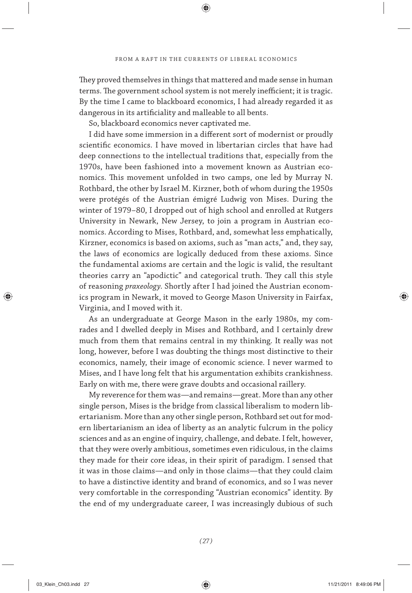#### FROM A RAFT IN THE CURRENTS OF LIBERAL ECONOMICS

◈

They proved themselves in things that mattered and made sense in human terms. The government school system is not merely inefficient; it is tragic. By the time I came to blackboard economics, I had already regarded it as dangerous in its artificiality and malleable to all bents.

So, blackboard economics never captivated me.

I did have some immersion in a different sort of modernist or proudly scientific economics. I have moved in libertarian circles that have had deep connections to the intellectual traditions that, especially from the 1970s, have been fashioned into a movement known as Austrian economics. This movement unfolded in two camps, one led by Murray N. Rothbard, the other by Israel M. Kirzner, both of whom during the 1950s were protégés of the Austrian émigré Ludwig von Mises. During the winter of 1979–80, I dropped out of high school and enrolled at Rutgers University in Newark, New Jersey, to join a program in Austrian economics. According to Mises, Rothbard, and, somewhat less emphatically, Kirzner, economics is based on axioms, such as "man acts," and, they say, the laws of economics are logically deduced from these axioms. Since the fundamental axioms are certain and the logic is valid, the resultant theories carry an "apodictic" and categorical truth. They call this style of reasoning *praxeology*. Shortly after I had joined the Austrian economics program in Newark, it moved to George Mason University in Fairfax, Virginia, and I moved with it.

As an undergraduate at George Mason in the early 1980s, my comrades and I dwelled deeply in Mises and Rothbard, and I certainly drew much from them that remains central in my thinking. It really was not long, however, before I was doubting the things most distinctive to their economics, namely, their image of economic science. I never warmed to Mises, and I have long felt that his argumentation exhibits crankishness. Early on with me, there were grave doubts and occasional raillery.

My reverence for them was—and remains—great. More than any other single person, Mises is the bridge from classical liberalism to modern libertarianism. More than any other single person, Rothbard set out for modern libertarianism an idea of liberty as an analytic fulcrum in the policy sciences and as an engine of inquiry, challenge, and debate. I felt, however, that they were overly ambitious, sometimes even ridiculous, in the claims they made for their core ideas, in their spirit of paradigm. I sensed that it was in those claims—and only in those claims—that they could claim to have a distinctive identity and brand of economics, and so I was never very comfortable in the corresponding "Austrian economics" identity. By the end of my undergraduate career, I was increasingly dubious of such

⊕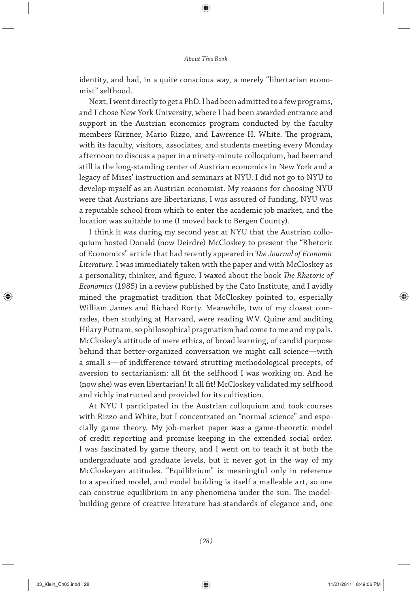◈

identity, and had, in a quite conscious way, a merely "libertarian economist" selfhood.

Next, I went directly to get a PhD. I had been admitted to a few programs, and I chose New York University, where I had been awarded entrance and support in the Austrian economics program conducted by the faculty members Kirzner, Mario Rizzo, and Lawrence H. White. The program, with its faculty, visitors, associates, and students meeting every Monday afternoon to discuss a paper in a ninety-minute colloquium, had been and still is the long-standing center of Austrian economics in New York and a legacy of Mises' instruction and seminars at NYU. I did not go to NYU to develop myself as an Austrian economist. My reasons for choosing NYU were that Austrians are libertarians, I was assured of funding, NYU was a reputable school from which to enter the academic job market, and the location was suitable to me (I moved back to Bergen County).

I think it was during my second year at NYU that the Austrian colloquium hosted Donald (now Deirdre) McCloskey to present the "Rhetoric of Economics" article that had recently appeared in *The Journal of Economic Literature*. I was immediately taken with the paper and with McCloskey as a personality, thinker, and figure. I waxed about the book *The Rhetoric of Economics* (1985) in a review published by the Cato Institute, and I avidly mined the pragmatist tradition that McCloskey pointed to, especially William James and Richard Rorty. Meanwhile, two of my closest comrades, then studying at Harvard, were reading W.V. Quine and auditing Hilary Putnam, so philosophical pragmatism had come to me and my pals. McCloskey's attitude of mere ethics, of broad learning, of candid purpose behind that better-organized conversation we might call science—with a small *s*—of indifference toward strutting methodological precepts, of aversion to sectarianism: all fit the selfhood I was working on. And he (now she) was even libertarian! It all fit! McCloskey validated my selfhood and richly instructed and provided for its cultivation.

At NYU I participated in the Austrian colloquium and took courses with Rizzo and White, but I concentrated on "normal science" and especially game theory. My job-market paper was a game-theoretic model of credit reporting and promise keeping in the extended social order. I was fascinated by game theory, and I went on to teach it at both the undergraduate and graduate levels, but it never got in the way of my McCloskeyan attitudes. "Equilibrium" is meaningful only in reference to a specified model, and model building is itself a malleable art, so one can construe equilibrium in any phenomena under the sun. The modelbuilding genre of creative literature has standards of elegance and, one

◈

◈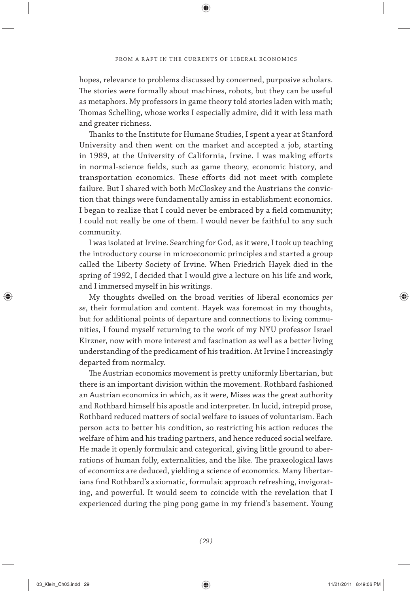◈

hopes, relevance to problems discussed by concerned, purposive scholars. The stories were formally about machines, robots, but they can be useful as metaphors. My professors in game theory told stories laden with math; Thomas Schelling, whose works I especially admire, did it with less math and greater richness.

Thanks to the Institute for Humane Studies, I spent a year at Stanford University and then went on the market and accepted a job, starting in 1989, at the University of California, Irvine. I was making efforts in normal-science fields, such as game theory, economic history, and transportation economics. These efforts did not meet with complete failure. But I shared with both McCloskey and the Austrians the conviction that things were fundamentally amiss in establishment economics. I began to realize that I could never be embraced by a field community; I could not really be one of them. I would never be faithful to any such community.

I was isolated at Irvine. Searching for God, as it were, I took up teaching the introductory course in microeconomic principles and started a group called the Liberty Society of Irvine. When Friedrich Hayek died in the spring of 1992, I decided that I would give a lecture on his life and work, and I immersed myself in his writings.

My thoughts dwelled on the broad verities of liberal economics *per se*, their formulation and content. Hayek was foremost in my thoughts, but for additional points of departure and connections to living communities, I found myself returning to the work of my NYU professor Israel Kirzner, now with more interest and fascination as well as a better living understanding of the predicament of his tradition. At Irvine I increasingly departed from normalcy.

The Austrian economics movement is pretty uniformly libertarian, but there is an important division within the movement. Rothbard fashioned an Austrian economics in which, as it were, Mises was the great authority and Rothbard himself his apostle and interpreter. In lucid, intrepid prose, Rothbard reduced matters of social welfare to issues of voluntarism. Each person acts to better his condition, so restricting his action reduces the welfare of him and his trading partners, and hence reduced social welfare. He made it openly formulaic and categorical, giving little ground to aberrations of human folly, externalities, and the like. The praxeological laws of economics are deduced, yielding a science of economics. Many libertarians find Rothbard's axiomatic, formulaic approach refreshing, invigorating, and powerful. It would seem to coincide with the revelation that I experienced during the ping pong game in my friend's basement. Young

⊕

♠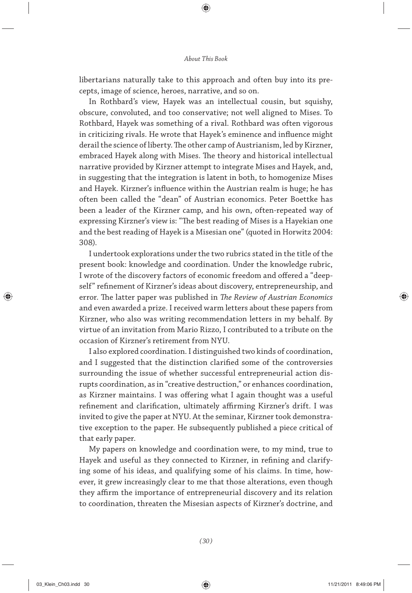⊕

libertarians naturally take to this approach and often buy into its precepts, image of science, heroes, narrative, and so on.

In Rothbard's view, Hayek was an intellectual cousin, but squishy, obscure, convoluted, and too conservative; not well aligned to Mises. To Rothbard, Hayek was something of a rival. Rothbard was often vigorous in criticizing rivals. He wrote that Hayek's eminence and influence might derail the science of liberty. The other camp of Austrianism, led by Kirzner, embraced Hayek along with Mises. The theory and historical intellectual narrative provided by Kirzner attempt to integrate Mises and Hayek, and, in suggesting that the integration is latent in both, to homogenize Mises and Hayek. Kirzner's influence within the Austrian realm is huge; he has often been called the "dean" of Austrian economics. Peter Boettke has been a leader of the Kirzner camp, and his own, often-repeated way of expressing Kirzner's view is: "The best reading of Mises is a Hayekian one and the best reading of Hayek is a Misesian one" (quoted in Horwitz 2004: 308).

I undertook explorations under the two rubrics stated in the title of the present book: knowledge and coordination. Under the knowledge rubric, I wrote of the discovery factors of economic freedom and offered a "deepself" refinement of Kirzner's ideas about discovery, entrepreneurship, and error. The latter paper was published in *The Review of Austrian Economics* and even awarded a prize. I received warm letters about these papers from Kirzner, who also was writing recommendation letters in my behalf. By virtue of an invitation from Mario Rizzo, I contributed to a tribute on the occasion of Kirzner's retirement from NYU.

I also explored coordination. I distinguished two kinds of coordination, and I suggested that the distinction clarified some of the controversies surrounding the issue of whether successful entrepreneurial action disrupts coordination, as in "creative destruction," or enhances coordination, as Kirzner maintains. I was offering what I again thought was a useful refinement and clarification, ultimately affirming Kirzner's drift. I was invited to give the paper at NYU. At the seminar, Kirzner took demonstrative exception to the paper. He subsequently published a piece critical of that early paper.

My papers on knowledge and coordination were, to my mind, true to Hayek and useful as they connected to Kirzner, in refining and clarifying some of his ideas, and qualifying some of his claims. In time, however, it grew increasingly clear to me that those alterations, even though they affirm the importance of entrepreneurial discovery and its relation to coordination, threaten the Misesian aspects of Kirzner's doctrine, and

⊕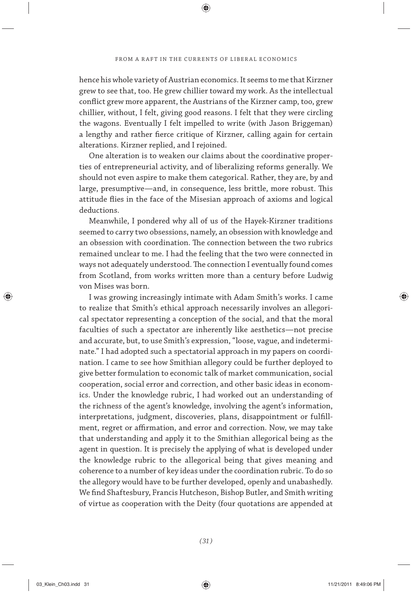#### FROM A RAFT IN THE CURRENTS OF LIBERAL ECONOMICS

◈

hence his whole variety of Austrian economics. It seems to me that Kirzner grew to see that, too. He grew chillier toward my work. As the intellectual conflict grew more apparent, the Austrians of the Kirzner camp, too, grew chillier, without, I felt, giving good reasons. I felt that they were circling the wagons. Eventually I felt impelled to write (with Jason Briggeman) a lengthy and rather fierce critique of Kirzner, calling again for certain alterations. Kirzner replied, and I rejoined.

One alteration is to weaken our claims about the coordinative properties of entrepreneurial activity, and of liberalizing reforms generally. We should not even aspire to make them categorical. Rather, they are, by and large, presumptive—and, in consequence, less brittle, more robust. This attitude flies in the face of the Misesian approach of axioms and logical deductions.

Meanwhile, I pondered why all of us of the Hayek-Kirzner traditions seemed to carry two obsessions, namely, an obsession with knowledge and an obsession with coordination. The connection between the two rubrics remained unclear to me. I had the feeling that the two were connected in ways not adequately understood. The connection I eventually found comes from Scotland, from works written more than a century before Ludwig von Mises was born.

I was growing increasingly intimate with Adam Smith's works. I came to realize that Smith's ethical approach necessarily involves an allegorical spectator representing a conception of the social, and that the moral faculties of such a spectator are inherently like aesthetics—not precise and accurate, but, to use Smith's expression, "loose, vague, and indeterminate." I had adopted such a spectatorial approach in my papers on coordination. I came to see how Smithian allegory could be further deployed to give better formulation to economic talk of market communication, social cooperation, social error and correction, and other basic ideas in economics. Under the knowledge rubric, I had worked out an understanding of the richness of the agent's knowledge, involving the agent's information, interpretations, judgment, discoveries, plans, disappointment or fulfillment, regret or affirmation, and error and correction. Now, we may take that understanding and apply it to the Smithian allegorical being as the agent in question. It is precisely the applying of what is developed under the knowledge rubric to the allegorical being that gives meaning and coherence to a number of key ideas under the coordination rubric. To do so the allegory would have to be further developed, openly and unabashedly. We find Shaftesbury, Francis Hutcheson, Bishop Butler, and Smith writing of virtue as cooperation with the Deity (four quotations are appended at

◈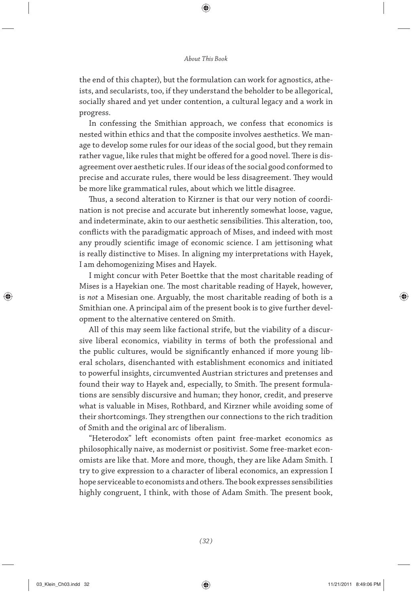◈

the end of this chapter), but the formulation can work for agnostics, atheists, and secularists, too, if they understand the beholder to be allegorical, socially shared and yet under contention, a cultural legacy and a work in progress.

In confessing the Smithian approach, we confess that economics is nested within ethics and that the composite involves aesthetics. We manage to develop some rules for our ideas of the social good, but they remain rather vague, like rules that might be offered for a good novel. There is disagreement over aesthetic rules. If our ideas of the social good conformed to precise and accurate rules, there would be less disagreement. They would be more like grammatical rules, about which we little disagree.

Thus, a second alteration to Kirzner is that our very notion of coordination is not precise and accurate but inherently somewhat loose, vague, and indeterminate, akin to our aesthetic sensibilities. This alteration, too, conflicts with the paradigmatic approach of Mises, and indeed with most any proudly scientific image of economic science. I am jettisoning what is really distinctive to Mises. In aligning my interpretations with Hayek, I am dehomogenizing Mises and Hayek.

I might concur with Peter Boettke that the most charitable reading of Mises is a Hayekian one. The most charitable reading of Hayek, however, is *not* a Misesian one. Arguably, the most charitable reading of both is a Smithian one. A principal aim of the present book is to give further development to the alternative centered on Smith.

All of this may seem like factional strife, but the viability of a discursive liberal economics, viability in terms of both the professional and the public cultures, would be significantly enhanced if more young liberal scholars, disenchanted with establishment economics and initiated to powerful insights, circumvented Austrian strictures and pretenses and found their way to Hayek and, especially, to Smith. The present formulations are sensibly discursive and human; they honor, credit, and preserve what is valuable in Mises, Rothbard, and Kirzner while avoiding some of their shortcomings. They strengthen our connections to the rich tradition of Smith and the original arc of liberalism.

"Heterodox" left economists often paint free-market economics as philosophically naive, as modernist or positivist. Some free-market economists are like that. More and more, though, they are like Adam Smith. I try to give expression to a character of liberal economics, an expression I hope serviceable to economists and others. The book expresses sensibilities highly congruent, I think, with those of Adam Smith. The present book,

⊕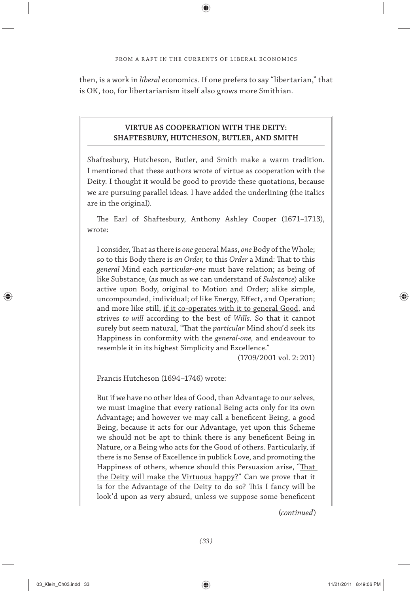⊕

then, is a work in *liberal* economics. If one prefers to say "libertarian," that is OK, too, for libertarianism itself also grows more Smithian.

### **VIRTUE AS COOPERATION WITH THE DEITY: SHAFTESBURY, HUTCHESON, BUTLER, AND SMITH**

Shaftesbury, Hutcheson, Butler, and Smith make a warm tradition. I mentioned that these authors wrote of virtue as cooperation with the Deity. I thought it would be good to provide these quotations, because we are pursuing parallel ideas. I have added the underlining (the italics are in the original).

The Earl of Shaftesbury, Anthony Ashley Cooper (1671-1713), wrote:

I consider, Th at as there is *one* general Mass, *one* Body of the Whole; so to this Body there is *an Order*, to this *Order* a Mind: That to this *general* Mind each *particular-one* must have relation; as being of like Substance, (as much as we can understand of *Substance*) alike active upon Body, original to Motion and Order; alike simple, uncompounded, individual; of like Energy, Effect, and Operation; and more like still, if it co-operates with it to general Good, and strives *to will* according to the best of *Wills.* So that it cannot surely but seem natural, "Th at the *particular* Mind shou'd seek its Happiness in conformity with the *general-one,* and endeavour to resemble it in its highest Simplicity and Excellence."

(1709/2001 vol. 2: 201)

Francis Hutcheson (1694–1746) wrote:

But if we have no other Idea of Good, than Advantage to our selves, we must imagine that every rational Being acts only for its own Advantage; and however we may call a beneficent Being, a good Being, because it acts for our Advantage, yet upon this Scheme we should not be apt to think there is any beneficent Being in Nature, or a Being who acts for the Good of others. Particularly, if there is no Sense of Excellence in publick Love, and promoting the Happiness of others, whence should this Persuasion arise, "That the Deity will make the Virtuous happy?" Can we prove that it is for the Advantage of the Deity to do so? This I fancy will be look'd upon as very absurd, unless we suppose some beneficent

(*continued*)

⊕

◈